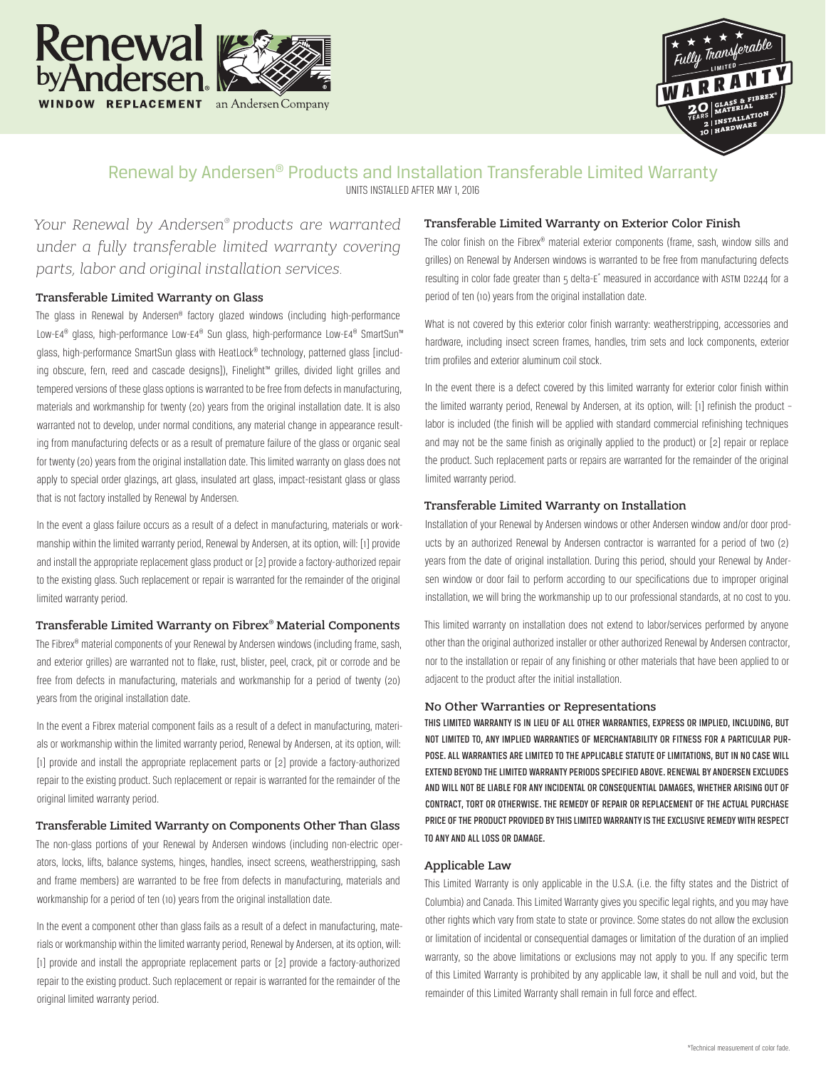



# Renewal by Andersen® Products and Installation Transferable Limited Warranty

UNITS INSTALLED AFTER MAY 1, 2016

*Your Renewal by Andersen® products are warranted under a fully transferable limited warranty covering parts, labor and original installation services.*

### Transferable Limited Warranty on Glass

The glass in Renewal by Andersen® factory glazed windows (including high-performance Low-E4<sup>®</sup> glass, high-performance Low-E4<sup>®</sup> Sun glass, high-performance Low-E4<sup>®</sup> SmartSun<sup>™</sup> glass, high-performance SmartSun glass with HeatLock® technology, patterned glass [including obscure, fern, reed and cascade designs]), Finelight™ grilles, divided light grilles and tempered versions of these glass options is warranted to be free from defects in manufacturing, materials and workmanship for twenty (20) years from the original installation date. It is also warranted not to develop, under normal conditions, any material change in appearance resulting from manufacturing defects or as a result of premature failure of the glass or organic seal for twenty (20) years from the original installation date. This limited warranty on glass does not apply to special order glazings, art glass, insulated art glass, impact-resistant glass or glass that is not factory installed by Renewal by Andersen.

In the event a glass failure occurs as a result of a defect in manufacturing, materials or workmanship within the limited warranty period, Renewal by Andersen, at its option, will: [1] provide and install the appropriate replacement glass product or [2] provide a factory-authorized repair to the existing glass. Such replacement or repair is warranted for the remainder of the original limited warranty period.

#### Transferable Limited Warranty on Fibrex® Material Components

The Fibrex® material components of your Renewal by Andersen windows (including frame, sash, and exterior grilles) are warranted not to flake, rust, blister, peel, crack, pit or corrode and be free from defects in manufacturing, materials and workmanship for a period of twenty (20) years from the original installation date.

In the event a Fibrex material component fails as a result of a defect in manufacturing, materials or workmanship within the limited warranty period, Renewal by Andersen, at its option, will: [1] provide and install the appropriate replacement parts or [2] provide a factory-authorized repair to the existing product. Such replacement or repair is warranted for the remainder of the original limited warranty period.

#### Transferable Limited Warranty on Components Other Than Glass

The non-glass portions of your Renewal by Andersen windows (including non-electric operators, locks, lifts, balance systems, hinges, handles, insect screens, weatherstripping, sash and frame members) are warranted to be free from defects in manufacturing, materials and workmanship for a period of ten (10) years from the original installation date.

In the event a component other than glass fails as a result of a defect in manufacturing, materials or workmanship within the limited warranty period, Renewal by Andersen, at its option, will: [1] provide and install the appropriate replacement parts or [2] provide a factory-authorized repair to the existing product. Such replacement or repair is warranted for the remainder of the original limited warranty period.

#### Transferable Limited Warranty on Exterior Color Finish

The color finish on the Fibrex® material exterior components (frame, sash, window sills and grilles) on Renewal by Andersen windows is warranted to be free from manufacturing defects resulting in color fade greater than 5 delta-E<sup>\*</sup> measured in accordance with ASTM D2244 for a period of ten (10) years from the original installation date.

What is not covered by this exterior color finish warranty: weatherstripping, accessories and hardware, including insect screen frames, handles, trim sets and lock components, exterior trim profiles and exterior aluminum coil stock.

In the event there is a defect covered by this limited warranty for exterior color finish within the limited warranty period, Renewal by Andersen, at its option, will: [1] refinish the product – labor is included (the finish will be applied with standard commercial refinishing techniques and may not be the same finish as originally applied to the product) or [2] repair or replace the product. Such replacement parts or repairs are warranted for the remainder of the original limited warranty period.

#### Transferable Limited Warranty on Installation

Installation of your Renewal by Andersen windows or other Andersen window and/or door products by an authorized Renewal by Andersen contractor is warranted for a period of two (2) years from the date of original installation. During this period, should your Renewal by Andersen window or door fail to perform according to our specifications due to improper original installation, we will bring the workmanship up to our professional standards, at no cost to you.

This limited warranty on installation does not extend to labor/services performed by anyone other than the original authorized installer or other authorized Renewal by Andersen contractor, nor to the installation or repair of any finishing or other materials that have been applied to or adjacent to the product after the initial installation.

#### No Other Warranties or Representations

THIS LIMITED WARRANTY IS IN LIEU OF ALL OTHER WARRANTIES, EXPRESS OR IMPLIED, INCLUDING, BUT NOT LIMITED TO, ANY IMPLIED WARRANTIES OF MERCHANTABILITY OR FITNESS FOR A PARTICULAR PUR-POSE. ALL WARRANTIES ARE LIMITED TO THE APPLICABLE STATUTE OF LIMITATIONS, BUT IN NO CASE WILL EXTEND BEYOND THE LIMITED WARRANTY PERIODS SPECIFIED ABOVE. RENEWAL BY ANDERSEN EXCLUDES AND WILL NOT BE LIABLE FOR ANY INCIDENTAL OR CONSEQUENTIAL DAMAGES, WHETHER ARISING OUT OF CONTRACT, TORT OR OTHERWISE. THE REMEDY OF REPAIR OR REPLACEMENT OF THE ACTUAL PURCHASE PRICE OF THE PRODUCT PROVIDED BY THIS LIMITED WARRANTY IS THE EXCLUSIVE REMEDY WITH RESPECT TO ANY AND ALL LOSS OR DAMAGE.

#### Applicable Law

This Limited Warranty is only applicable in the U.S.A. (i.e. the fifty states and the District of Columbia) and Canada. This Limited Warranty gives you specific legal rights, and you may have other rights which vary from state to state or province. Some states do not allow the exclusion or limitation of incidental or consequential damages or limitation of the duration of an implied warranty, so the above limitations or exclusions may not apply to you. If any specific term of this Limited Warranty is prohibited by any applicable law, it shall be null and void, but the remainder of this Limited Warranty shall remain in full force and effect.